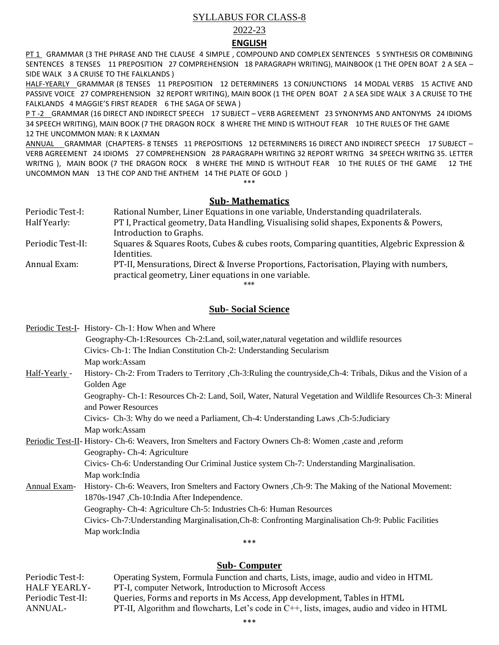## SYLLABUS FOR CLASS-8

## 2022-23

#### **ENGLISH**

PT 1 GRAMMAR (3 THE PHRASE AND THE CLAUSE 4 SIMPLE, COMPOUND AND COMPLEX SENTENCES 5 SYNTHESIS OR COMBINING SENTENCES 8 TENSES 11 PREPOSITION 27 COMPREHENSION 18 PARAGRAPH WRITING), MAINBOOK (1 THE OPEN BOAT 2 A SEA – SIDE WALK 3 A CRUISE TO THE FALKLANDS )

HALF-YEARLY GRAMMAR (8 TENSES 11 PREPOSITION 12 DETERMINERS 13 CONJUNCTIONS 14 MODAL VERBS 15 ACTIVE AND PASSIVE VOICE 27 COMPREHENSION 32 REPORT WRITING), MAIN BOOK (1 THE OPEN BOAT 2 A SEA SIDE WALK 3 A CRUISE TO THE FALKLANDS 4 MAGGIE'S FIRST READER 6 THE SAGA OF SEWA )

P T -2 GRAMMAR (16 DIRECT AND INDIRECT SPEECH 17 SUBJECT – VERB AGREEMENT 23 SYNONYMS AND ANTONYMS 24 IDIOMS 34 SPEECH WRITING), MAIN BOOK (7 THE DRAGON ROCK 8 WHERE THE MIND IS WITHOUT FEAR 10 THE RULES OF THE GAME 12 THE UNCOMMON MAN: R K LAXMAN

ANNUAL GRAMMAR (CHAPTERS- 8 TENSES 11 PREPOSITIONS 12 DETERMINERS 16 DIRECT AND INDIRECT SPEECH 17 SUBJECT – VERB AGREEMENT 24 IDIOMS 27 COMPREHENSION 28 PARAGRAPH WRITING 32 REPORT WRITNG 34 SPEECH WRITNG 35. LETTER WRITNG ), MAIN BOOK (7 THE DRAGON ROCK 8 WHERE THE MIND IS WITHOUT FEAR 10 THE RULES OF THE GAME 12 THE UNCOMMON MAN 13 THE COP AND THE ANTHEM 14 THE PLATE OF GOLD )

\*\*\*

# **Sub- Mathematics**

| Periodic Test-I:  | Rational Number, Liner Equations in one variable, Understanding quadrilaterals.           |
|-------------------|-------------------------------------------------------------------------------------------|
| Half Yearly:      | PT I, Practical geometry, Data Handling, Visualising solid shapes, Exponents & Powers,    |
|                   | Introduction to Graphs.                                                                   |
| Periodic Test-II: | Squares & Squares Roots, Cubes & cubes roots, Comparing quantities, Algebric Expression & |
|                   | Identities.                                                                               |
| Annual Exam:      | PT-II, Mensurations, Direct & Inverse Proportions, Factorisation, Playing with numbers,   |
|                   | practical geometry, Liner equations in one variable.                                      |

\*\*\*

## **Sub- Social Science**

Periodic Test-I- History- Ch-1: How When and Where Geography-Ch-1:Resources Ch-2:Land, soil,water,natural vegetation and wildlife resources Civics- Ch-1: The Indian Constitution Ch-2: Understanding Secularism Map work:Assam Half-Yearly - History- Ch-2: From Traders to Territory ,Ch-3:Ruling the countryside,Ch-4: Tribals, Dikus and the Vision of a Golden Age Geography- Ch-1: Resources Ch-2: Land, Soil, Water, Natural Vegetation and Wildlife Resources Ch-3: Mineral and Power Resources Civics- Ch-3: Why do we need a Parliament, Ch-4: Understanding Laws ,Ch-5:Judiciary Map work:Assam Periodic Test-II- History- Ch-6: Weavers, Iron Smelters and Factory Owners Ch-8: Women ,caste and ,reform Geography- Ch-4: Agriculture Civics- Ch-6: Understanding Our Criminal Justice system Ch-7: Understanding Marginalisation. Map work:India Annual Exam- History- Ch-6: Weavers, Iron Smelters and Factory Owners ,Ch-9: The Making of the National Movement: 1870s-1947 ,Ch-10:India After Independence. Geography- Ch-4: Agriculture Ch-5: Industries Ch-6: Human Resources Civics- Ch-7:Understanding Marginalisation,Ch-8: Confronting Marginalisation Ch-9: Public Facilities Map work:India

# **Sub- Computer**

\*\*\*

| Periodic Test-I:    | Operating System, Formula Function and charts, Lists, image, audio and video in HTML       |
|---------------------|--------------------------------------------------------------------------------------------|
| <b>HALF YEARLY-</b> | PT-I, computer Network, Introduction to Microsoft Access                                   |
| Periodic Test-II:   | Queries, Forms and reports in Ms Access, App development, Tables in HTML                   |
| ANNUAL-             | PT-II, Algorithm and flowcharts, Let's code in C++, lists, images, audio and video in HTML |